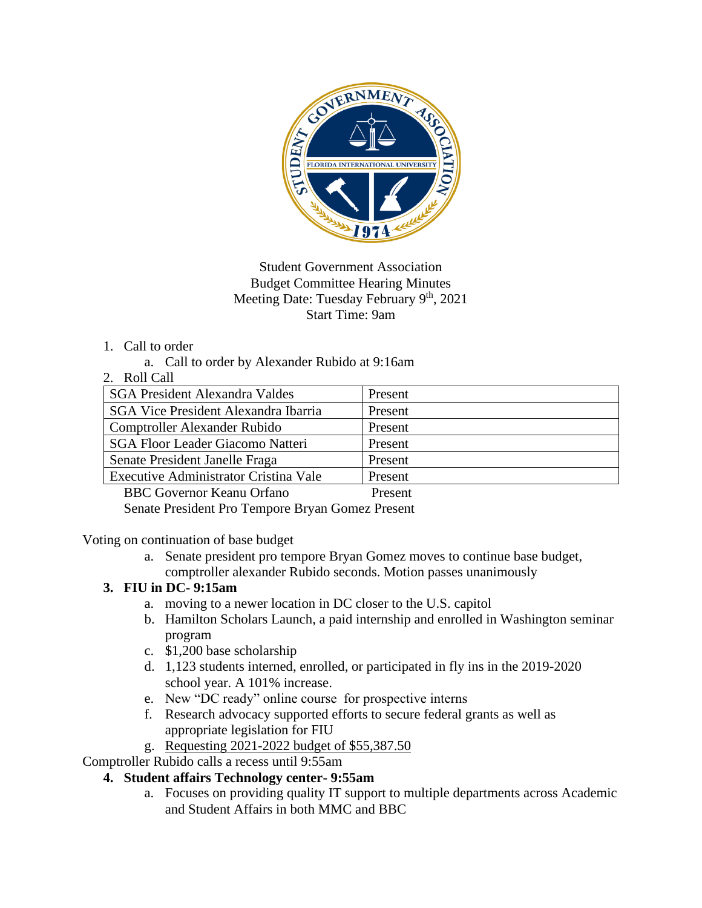

### Student Government Association Budget Committee Hearing Minutes Meeting Date: Tuesday February  $9<sup>th</sup>$ , 2021 Start Time: 9am

### 1. Call to order

a. Call to order by Alexander Rubido at 9:16am

#### 2. Roll Call

| <b>SGA President Alexandra Valdes</b>       | Present |
|---------------------------------------------|---------|
| <b>SGA Vice President Alexandra Ibarria</b> | Present |
| Comptroller Alexander Rubido                | Present |
| <b>SGA Floor Leader Giacomo Natteri</b>     | Present |
| Senate President Janelle Fraga              | Present |
| Executive Administrator Cristina Vale       | Present |
| <b>BBC</b> Governor Keanu Orfano            | Present |

Senate President Pro Tempore Bryan Gomez Present

Voting on continuation of base budget

a. Senate president pro tempore Bryan Gomez moves to continue base budget, comptroller alexander Rubido seconds. Motion passes unanimously

### **3. FIU in DC- 9:15am**

- a. moving to a newer location in DC closer to the U.S. capitol
- b. Hamilton Scholars Launch, a paid internship and enrolled in Washington seminar program
- c. \$1,200 base scholarship
- d. 1,123 students interned, enrolled, or participated in fly ins in the 2019-2020 school year. A 101% increase.
- e. New "DC ready" online course for prospective interns
- f. Research advocacy supported efforts to secure federal grants as well as appropriate legislation for FIU
- g. Requesting 2021-2022 budget of \$55,387.50

Comptroller Rubido calls a recess until 9:55am

### **4. Student affairs Technology center- 9:55am**

a. Focuses on providing quality IT support to multiple departments across Academic and Student Affairs in both MMC and BBC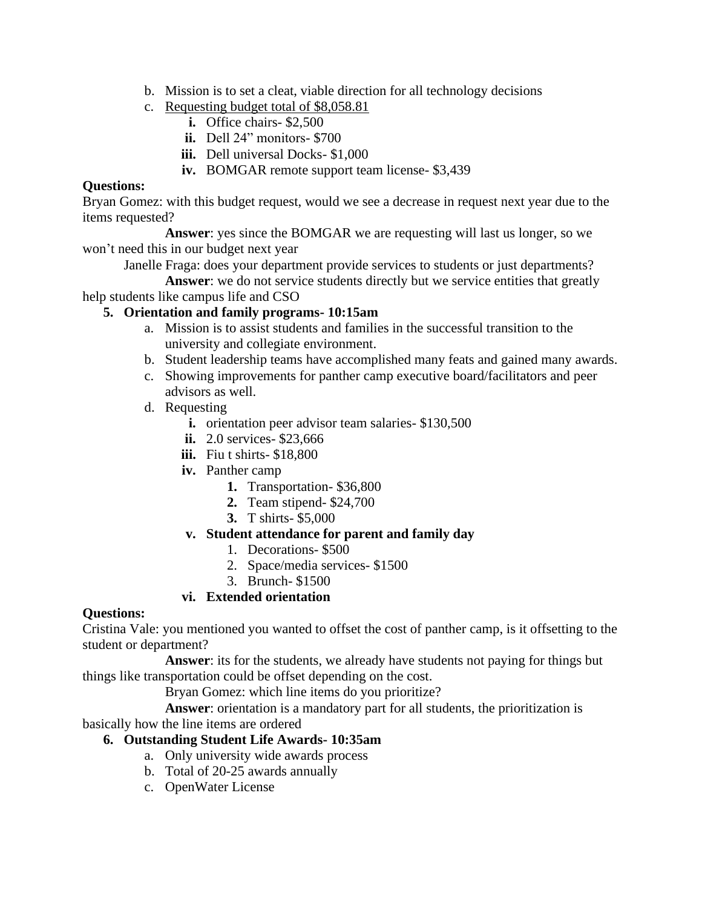- b. Mission is to set a cleat, viable direction for all technology decisions
- c. Requesting budget total of \$8,058.81
	- **i.** Office chairs- \$2,500
	- **ii.** Dell 24" monitors- \$700
	- **iii.** Dell universal Docks- \$1,000
	- **iv.** BOMGAR remote support team license- \$3,439

#### **Questions:**

Bryan Gomez: with this budget request, would we see a decrease in request next year due to the items requested?

**Answer**: yes since the BOMGAR we are requesting will last us longer, so we won't need this in our budget next year

Janelle Fraga: does your department provide services to students or just departments?

**Answer**: we do not service students directly but we service entities that greatly help students like campus life and CSO

### **5. Orientation and family programs- 10:15am**

- a. Mission is to assist students and families in the successful transition to the university and collegiate environment.
- b. Student leadership teams have accomplished many feats and gained many awards.
- c. Showing improvements for panther camp executive board/facilitators and peer advisors as well.
- d. Requesting
	- **i.** orientation peer advisor team salaries \$130,500
	- **ii.** 2.0 services- \$23,666
	- **iii.** Fiu t shirts- \$18,800
	- **iv.** Panther camp
		- **1.** Transportation- \$36,800
		- **2.** Team stipend- \$24,700
		- **3.** T shirts- \$5,000

# **v. Student attendance for parent and family day**

- 1. Decorations- \$500
- 2. Space/media services- \$1500
- 3. Brunch- \$1500

### **vi. Extended orientation**

### **Questions:**

Cristina Vale: you mentioned you wanted to offset the cost of panther camp, is it offsetting to the student or department?

**Answer**: its for the students, we already have students not paying for things but things like transportation could be offset depending on the cost.

Bryan Gomez: which line items do you prioritize?

**Answer**: orientation is a mandatory part for all students, the prioritization is basically how the line items are ordered

# **6. Outstanding Student Life Awards- 10:35am**

- a. Only university wide awards process
- b. Total of 20-25 awards annually
- c. OpenWater License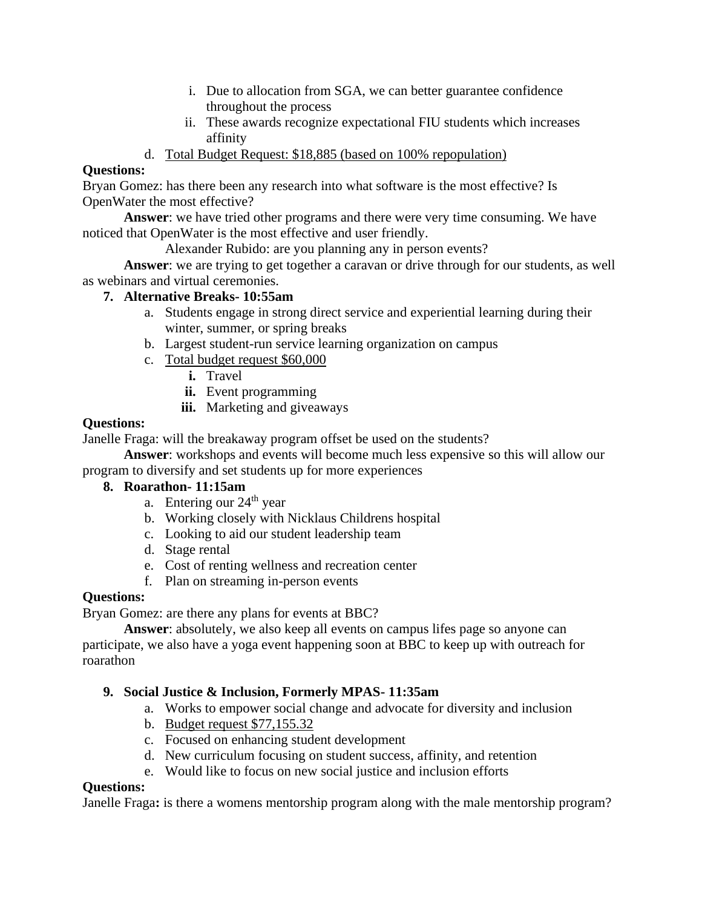- i. Due to allocation from SGA, we can better guarantee confidence throughout the process
- ii. These awards recognize expectational FIU students which increases affinity
- d. Total Budget Request: \$18,885 (based on 100% repopulation)

### **Questions:**

Bryan Gomez: has there been any research into what software is the most effective? Is OpenWater the most effective?

**Answer**: we have tried other programs and there were very time consuming. We have noticed that OpenWater is the most effective and user friendly.

Alexander Rubido: are you planning any in person events?

**Answer**: we are trying to get together a caravan or drive through for our students, as well as webinars and virtual ceremonies.

### **7. Alternative Breaks- 10:55am**

- a. Students engage in strong direct service and experiential learning during their winter, summer, or spring breaks
- b. Largest student-run service learning organization on campus
- c. Total budget request \$60,000
	- **i.** Travel
	- **ii.** Event programming
	- **iii.** Marketing and giveaways

### **Questions:**

Janelle Fraga: will the breakaway program offset be used on the students?

**Answer**: workshops and events will become much less expensive so this will allow our

# program to diversify and set students up for more experiences

### **8. Roarathon- 11:15am**

- a. Entering our  $24<sup>th</sup>$  year
- b. Working closely with Nicklaus Childrens hospital
- c. Looking to aid our student leadership team
- d. Stage rental
- e. Cost of renting wellness and recreation center
- f. Plan on streaming in-person events

### **Questions:**

Bryan Gomez: are there any plans for events at BBC?

**Answer**: absolutely, we also keep all events on campus lifes page so anyone can participate, we also have a yoga event happening soon at BBC to keep up with outreach for roarathon

# **9. Social Justice & Inclusion, Formerly MPAS- 11:35am**

- a. Works to empower social change and advocate for diversity and inclusion
- b. Budget request \$77,155.32
- c. Focused on enhancing student development
- d. New curriculum focusing on student success, affinity, and retention
- e. Would like to focus on new social justice and inclusion efforts

### **Questions:**

Janelle Fraga**:** is there a womens mentorship program along with the male mentorship program?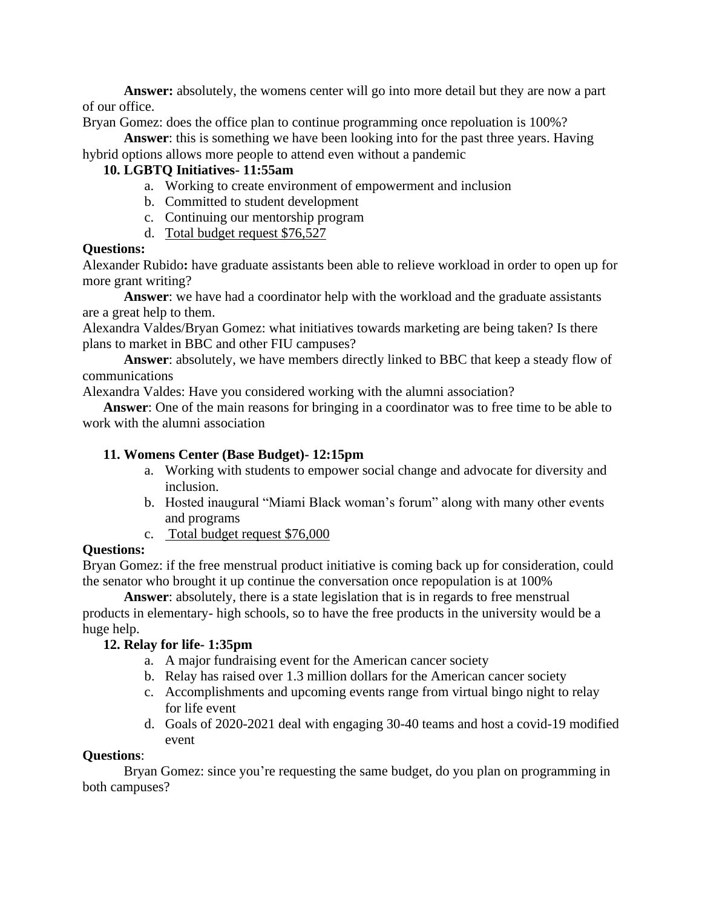**Answer:** absolutely, the womens center will go into more detail but they are now a part of our office.

Bryan Gomez: does the office plan to continue programming once repoluation is 100%?

**Answer**: this is something we have been looking into for the past three years. Having hybrid options allows more people to attend even without a pandemic

### **10. LGBTQ Initiatives- 11:55am**

- a. Working to create environment of empowerment and inclusion
- b. Committed to student development
- c. Continuing our mentorship program
- d. Total budget request \$76,527

### **Questions:**

Alexander Rubido**:** have graduate assistants been able to relieve workload in order to open up for more grant writing?

**Answer**: we have had a coordinator help with the workload and the graduate assistants are a great help to them.

Alexandra Valdes/Bryan Gomez: what initiatives towards marketing are being taken? Is there plans to market in BBC and other FIU campuses?

**Answer**: absolutely, we have members directly linked to BBC that keep a steady flow of communications

Alexandra Valdes: Have you considered working with the alumni association?

**Answer**: One of the main reasons for bringing in a coordinator was to free time to be able to work with the alumni association

### **11. Womens Center (Base Budget)- 12:15pm**

- a. Working with students to empower social change and advocate for diversity and inclusion.
- b. Hosted inaugural "Miami Black woman's forum" along with many other events and programs
- c. Total budget request \$76,000

### **Questions:**

Bryan Gomez: if the free menstrual product initiative is coming back up for consideration, could the senator who brought it up continue the conversation once repopulation is at 100%

**Answer**: absolutely, there is a state legislation that is in regards to free menstrual products in elementary- high schools, so to have the free products in the university would be a huge help.

### **12. Relay for life- 1:35pm**

- a. A major fundraising event for the American cancer society
- b. Relay has raised over 1.3 million dollars for the American cancer society
- c. Accomplishments and upcoming events range from virtual bingo night to relay for life event
- d. Goals of 2020-2021 deal with engaging 30-40 teams and host a covid-19 modified event

### **Questions**:

Bryan Gomez: since you're requesting the same budget, do you plan on programming in both campuses?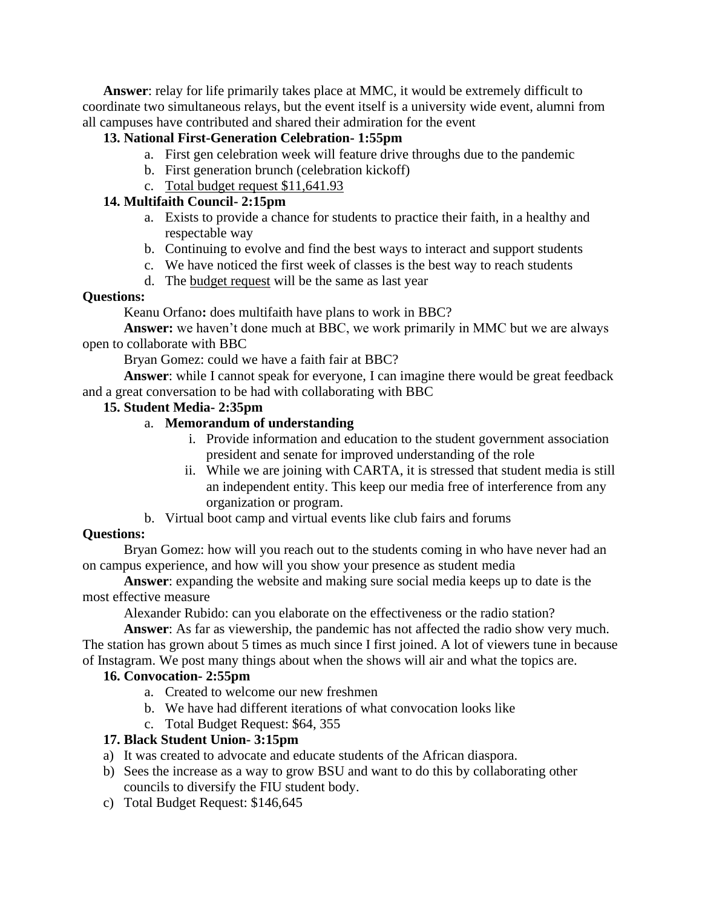**Answer**: relay for life primarily takes place at MMC, it would be extremely difficult to coordinate two simultaneous relays, but the event itself is a university wide event, alumni from all campuses have contributed and shared their admiration for the event

### **13. National First-Generation Celebration- 1:55pm**

- a. First gen celebration week will feature drive throughs due to the pandemic
- b. First generation brunch (celebration kickoff)
- c. Total budget request \$11,641.93

### **14. Multifaith Council- 2:15pm**

- a. Exists to provide a chance for students to practice their faith, in a healthy and respectable way
- b. Continuing to evolve and find the best ways to interact and support students
- c. We have noticed the first week of classes is the best way to reach students
- d. The budget request will be the same as last year

### **Questions:**

Keanu Orfano**:** does multifaith have plans to work in BBC?

**Answer:** we haven't done much at BBC, we work primarily in MMC but we are always open to collaborate with BBC

Bryan Gomez: could we have a faith fair at BBC?

**Answer**: while I cannot speak for everyone, I can imagine there would be great feedback and a great conversation to be had with collaborating with BBC

### **15. Student Media- 2:35pm**

### a. **Memorandum of understanding**

- i. Provide information and education to the student government association president and senate for improved understanding of the role
- ii. While we are joining with CARTA, it is stressed that student media is still an independent entity. This keep our media free of interference from any organization or program.
- b. Virtual boot camp and virtual events like club fairs and forums

# **Questions:**

Bryan Gomez: how will you reach out to the students coming in who have never had an on campus experience, and how will you show your presence as student media

**Answer**: expanding the website and making sure social media keeps up to date is the most effective measure

Alexander Rubido: can you elaborate on the effectiveness or the radio station?

**Answer**: As far as viewership, the pandemic has not affected the radio show very much. The station has grown about 5 times as much since I first joined. A lot of viewers tune in because of Instagram. We post many things about when the shows will air and what the topics are.

# **16. Convocation- 2:55pm**

- a. Created to welcome our new freshmen
- b. We have had different iterations of what convocation looks like
- c. Total Budget Request: \$64, 355

# **17. Black Student Union- 3:15pm**

- a) It was created to advocate and educate students of the African diaspora.
- b) Sees the increase as a way to grow BSU and want to do this by collaborating other councils to diversify the FIU student body.
- c) Total Budget Request: \$146,645